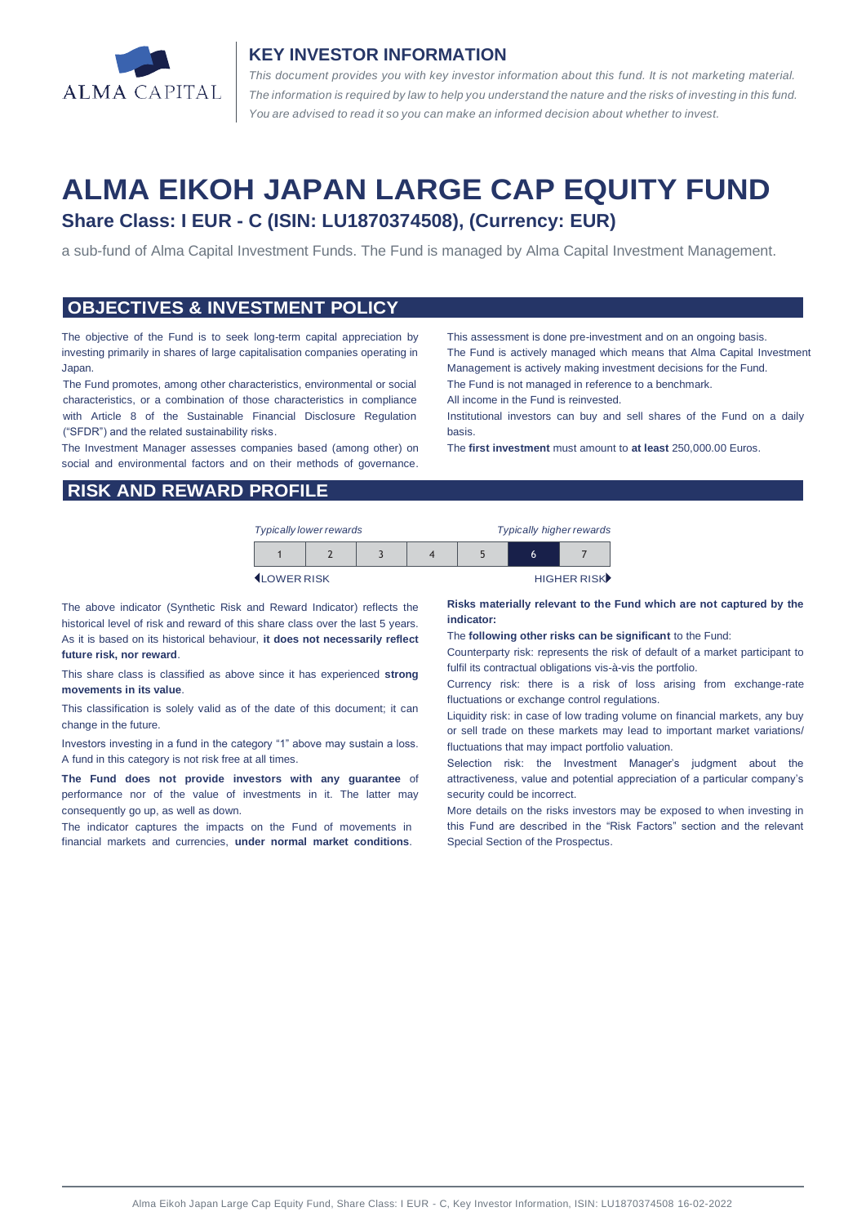

### **KEY INVESTOR INFORMATION**

*This document provides you with key investor information about this fund. It is not marketing material.*  The information is required by law to help you understand the nature and the risks of investing in this fund. *You are advised to read it so you can make an informed decision about whether to invest.*

# **ALMA EIKOH JAPAN LARGE CAP EQUITY FUND Share Class: I EUR - C (ISIN: LU1870374508), (Currency: EUR)**

a sub-fund of Alma Capital Investment Funds. The Fund is managed by Alma Capital Investment Management.

#### **OBJECTIVES & INVESTMENT POLICY**

The objective of the Fund is to seek long-term capital appreciation by investing primarily in shares of large capitalisation companies operating in Japan.

The Fund promotes, among other characteristics, environmental or social characteristics, or a combination of those characteristics in compliance with Article 8 of the Sustainable Financial Disclosure Regulation ("SFDR") and the related sustainability risks.

The Investment Manager assesses companies based (among other) on social and environmental factors and on their methods of governance.

This assessment is done pre-investment and on an ongoing basis. The Fund is actively managed which means that Alma Capital Investment Management is actively making investment decisions for the Fund. The Fund is not managed in reference to a benchmark.

All income in the Fund is reinvested.

Institutional investors can buy and sell shares of the Fund on a daily basis.

The **first investment** must amount to **at least** 250,000.00 Euros.

#### **RISK AND REWARD PROFILE**

| <b>Typically lower rewards</b> |  |  | <b>Typically higher rewards</b> |  |             |  |
|--------------------------------|--|--|---------------------------------|--|-------------|--|
|                                |  |  |                                 |  | b           |  |
| <b>ILOWER RISK</b>             |  |  |                                 |  | HIGHER RISK |  |

The above indicator (Synthetic Risk and Reward Indicator) reflects the historical level of risk and reward of this share class over the last 5 years. As it is based on its historical behaviour, **it does not necessarily reflect future risk, nor reward**.

This share class is classified as above since it has experienced **strong movements in its value**.

This classification is solely valid as of the date of this document; it can change in the future.

Investors investing in a fund in the category "1" above may sustain a loss. A fund in this category is not risk free at all times.

**The Fund does not provide investors with any guarantee** of performance nor of the value of investments in it. The latter may consequently go up, as well as down.

The indicator captures the impacts on the Fund of movements in financial markets and currencies, **under normal market conditions**.

**Risks materially relevant to the Fund which are not captured by the indicator:** 

The **following other risks can be significant** to the Fund:

Counterparty risk: represents the risk of default of a market participant to fulfil its contractual obligations vis-à-vis the portfolio.

Currency risk: there is a risk of loss arising from exchange-rate fluctuations or exchange control regulations.

Liquidity risk: in case of low trading volume on financial markets, any buy or sell trade on these markets may lead to important market variations/ fluctuations that may impact portfolio valuation.

Selection risk: the Investment Manager's judgment about the attractiveness, value and potential appreciation of a particular company's security could be incorrect.

More details on the risks investors may be exposed to when investing in this Fund are described in the "Risk Factors" section and the relevant Special Section of the Prospectus.